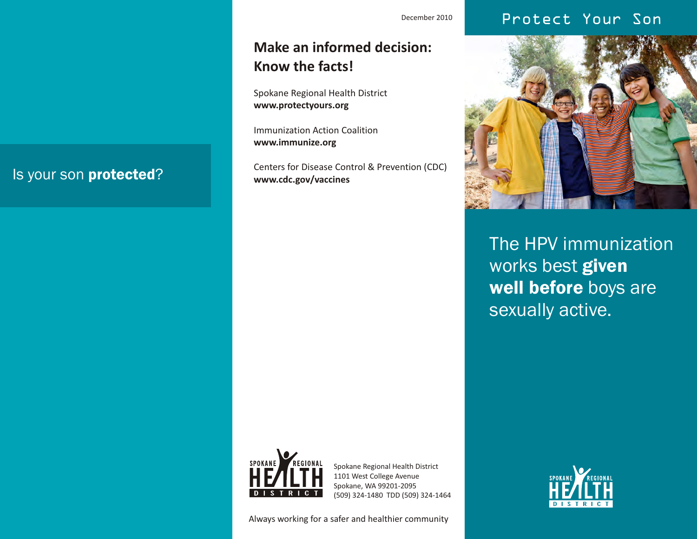## December 2010 **Protect Your Son**

## **Make an informed decision: Know the facts!**

Spokane Regional Health District **www.protectyours.org**

Immunization Action Coalition **www.immunize.org**

Centers for Disease Control & Prevention (CDC) **www.cdc.gov/vaccines**



The HPV immunization works best given well before boys are sexually active.



Spokane Regional Health District 1101 West College Avenue Spokane, WA 99201-2095 (509) 324-1480 TDD (509) 324-1464

Always working for a safer and healthier community



# Is your son protected?